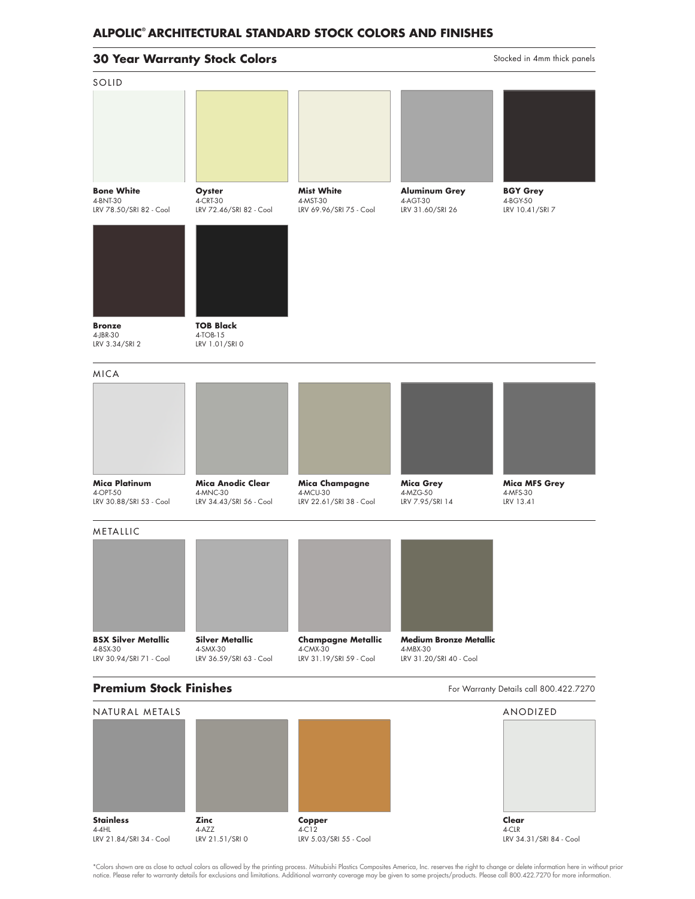## **30 Year Warranty Stock Colors**

Stocked in 4mm thick panels

| SOLID                                                       |                                                                 |                                                          |                                                      |                                               |
|-------------------------------------------------------------|-----------------------------------------------------------------|----------------------------------------------------------|------------------------------------------------------|-----------------------------------------------|
|                                                             |                                                                 |                                                          |                                                      |                                               |
| <b>Bone White</b><br>4-BNT-30<br>LRV 78.50/SRI 82 - Cool    | Oyster<br>4-CRT-30<br>LRV 72.46/SRI 82 - Cool                   | <b>Mist White</b><br>4-MST-30<br>LRV 69.96/SRI 75 - Cool | <b>Aluminum Grey</b><br>4-AGT-30<br>LRV 31.60/SRI 26 | <b>BGY Grey</b><br>4-BGY-50<br>LRV 10.41/SRI7 |
|                                                             |                                                                 |                                                          |                                                      |                                               |
| <b>Bronze</b><br>4-JBR-30<br>LRV 3.34/SRI 2                 | <b>TOB Black</b><br>4-TOB-15<br>LRV 1.01/SRI0                   |                                                          |                                                      |                                               |
| <b>MICA</b>                                                 |                                                                 |                                                          |                                                      |                                               |
|                                                             |                                                                 |                                                          |                                                      |                                               |
| <b>Mica Platinum</b><br>4-OPT-50<br>LRV 30.88/SRI 53 - Cool | <b>Mica Anodic Clear</b><br>4-MNC-30<br>LRV 34.43/SRI 56 - Cool | Mica Champagne<br>4-MCU-30<br>LRV 22.61/SRI 38 - Cool    | <b>Mica Grey</b><br>4-MZG-50<br>LRV 7.95/SRI 14      | <b>Mica MFS Grey</b><br>4-MFS-30<br>LRV 13.41 |
| METALLIC                                                    |                                                                 |                                                          |                                                      |                                               |
|                                                             |                                                                 |                                                          |                                                      |                                               |
| <b>BSX Silver Metallic</b><br>4-BSX-30                      | <b>Silver Metallic</b><br>4-SMX-30                              | <b>Champagne Metallic</b><br>4-CMX-30                    | <b>Medium Bronze Metallic</b><br>4-MBX-30            |                                               |
| LRV 30.94/SRI 71 - Cool                                     | LRV 36.59/SRI 63 - Cool                                         | LRV 31.19/SRI 59 - Cool                                  | LRV 31.20/SRI 40 - Cool                              |                                               |
| <b>Premium Stock Finishes</b>                               |                                                                 |                                                          |                                                      | For Warranty Details call 800.422.7270        |
| NATURAL METALS                                              |                                                                 |                                                          |                                                      | ANODIZED                                      |
|                                                             |                                                                 |                                                          |                                                      |                                               |

**Stainless** 4-4HL LRV 21.84/SRI 34 - Cool **Zinc** 4-AZZ LRV 21.51/SRI 0

**Copper** 4-C12 LRV 5.03/SRI 55 - Cool **Clear** 4-CLR LRV 34.31/SRI 84 - Cool